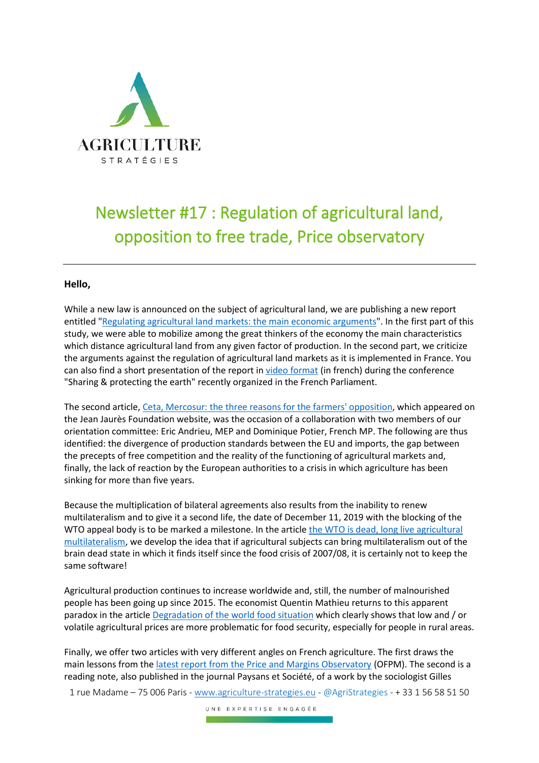

## Newsletter #17 : Regulation of agricultural land, opposition to free trade, Price observatory

## **Hello,**

While a new law is announced on the subject of agricultural land, we are publishing a new report entitled ["Regulating agricultural land markets: the main economic arguments"](http://www.agriculture-strategies.eu/en/2020/01/regulating-agricultural-land-markets-the-main-economic-arguments/). In the first part of this study, we were able to mobilize among the great thinkers of the economy the main characteristics which distance agricultural land from any given factor of production. In the second part, we criticize the arguments against the regulation of agricultural land markets as it is implemented in France. You can also find a short presentation of the report i[n video format](http://www.agriculture-strategies.eu/nos-interventions-en-video/) (in french) during the conference "Sharing & protecting the earth" recently organized in the French Parliament.

The second article[, Ceta, Mercosur: the three reasons for the farmers' opposition,](http://www.agriculture-strategies.eu/en/2020/01/3432/) which appeared on the Jean Jaurès Foundation website, was the occasion of a collaboration with two members of our orientation committee: Eric Andrieu, MEP and Dominique Potier, French MP. The following are thus identified: the divergence of production standards between the EU and imports, the gap between the precepts of free competition and the reality of the functioning of agricultural markets and, finally, the lack of reaction by the European authorities to a crisis in which agriculture has been sinking for more than five years.

Because the multiplication of bilateral agreements also results from the inability to renew multilateralism and to give it a second life, the date of December 11, 2019 with the blocking of the WTO appeal body is to be marked a milestone. In the article the WTO is dead, long live agricultural [multilateralism,](http://www.agriculture-strategies.eu/en/2019/12/the-wto-is-dead-long-live-agricultural-multilateralism/) we develop the idea that if agricultural subjects can bring multilateralism out of the brain dead state in which it finds itself since the food crisis of 2007/08, it is certainly not to keep the same software!

Agricultural production continues to increase worldwide and, still, the number of malnourished people has been going up since 2015. The economist Quentin Mathieu returns to this apparent paradox in the articl[e Degradation of the world food situation](http://www.agriculture-strategies.eu/en/2020/01/deterioration-of-the-world-food-situation/) which clearly shows that low and / or volatile agricultural prices are more problematic for food security, especially for people in rural areas.

Finally, we offer two articles with very different angles on French agriculture. The first draws the main lessons from th[e latest report from the Price and Margins Observatory](http://www.agriculture-strategies.eu/en/2020/01/the-five-lessons-to-be-drawn-from-the-report-of-the-price-and-margin-observatory/) (OFPM). The second is a reading note, also published in the journal Paysans et Société, of a work by the sociologist Gilles

1 rue Madame – 75 006 Paris - [www.agriculture-strategies.eu](http://www.agriculture-strategies.eu/) - @AgriStrategies - + 33 1 56 58 51 50